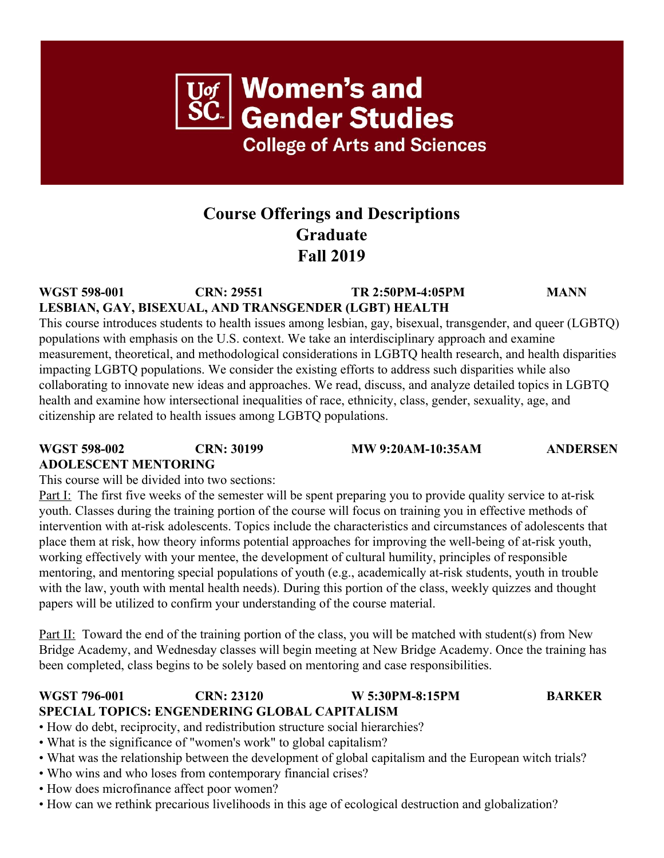## **Course Offerings and Descriptions Graduate Fall 2019**

**WGST 598-001 CRN: 29551 TR 2:50PM-4:05PM MANN LESBIAN, GAY, BISEXUAL, AND TRANSGENDER (LGBT) HEALTH**

This course introduces students to health issues among lesbian, gay, bisexual, transgender, and queer (LGBTQ) populations with emphasis on the U.S. context. We take an interdisciplinary approach and examine measurement, theoretical, and methodological considerations in LGBTQ health research, and health disparities impacting LGBTQ populations. We consider the existing efforts to address such disparities while also collaborating to innovate new ideas and approaches. We read, discuss, and analyze detailed topics in LGBTQ health and examine how intersectional inequalities of race, ethnicity, class, gender, sexuality, age, and citizenship are related to health issues among LGBTQ populations.

### **WGST 598-002 CRN: 30199 MW 9:20AM-10:35AM ANDERSEN ADOLESCENT MENTORING**

This course will be divided into two sections:

Part I: The first five weeks of the semester will be spent preparing you to provide quality service to at-risk youth. Classes during the training portion of the course will focus on training you in effective methods of intervention with at-risk adolescents. Topics include the characteristics and circumstances of adolescents that place them at risk, how theory informs potential approaches for improving the well-being of at-risk youth, working effectively with your mentee, the development of cultural humility, principles of responsible mentoring, and mentoring special populations of youth (e.g., academically at-risk students, youth in trouble with the law, youth with mental health needs). During this portion of the class, weekly quizzes and thought papers will be utilized to confirm your understanding of the course material.

Part II: Toward the end of the training portion of the class, you will be matched with student(s) from New Bridge Academy, and Wednesday classes will begin meeting at New Bridge Academy. Once the training has been completed, class begins to be solely based on mentoring and case responsibilities.

### **WGST 796-001 CRN: 23120 W 5:30PM-8:15PM BARKER SPECIAL TOPICS: ENGENDERING GLOBAL CAPITALISM**

• How do debt, reciprocity, and redistribution structure social hierarchies?

- What is the significance of "women's work" to global capitalism?
- What was the relationship between the development of global capitalism and the European witch trials?
- Who wins and who loses from contemporary financial crises?
- How does microfinance affect poor women?
- How can we rethink precarious livelihoods in this age of ecological destruction and globalization?

# $\overline{\text{U}\text{of}}$  Women's and<br>SC Gender Studies **College of Arts and Sciences**